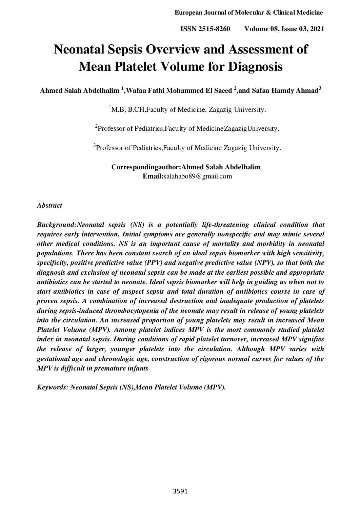# **Neonatal Sepsis Overview and Assessment of Mean Platelet Volume for Diagnosis**

**Ahmed Salah Abdelhalim <sup>1</sup> ,Wafaa Fathi Mohammed El Saeed <sup>2</sup> ,and Safaa Hamdy Ahmad<sup>3</sup>**

 $1<sup>1</sup>$ M.B; B.CH.Faculty of Medicine, Zagazig University.

<sup>2</sup>Professor of Pediatrics, Faculty of Medicine Zagazig University.

<sup>3</sup>Professor of Pediatrics, Faculty of Medicine Zagazig University.

**Correspondingauthor:Ahmed Salah Abdelhalim Email:**salahabo8[9@gmail.com](mailto:amirasobhy034@gmail.com) 

#### *Abstract*

*Background:Neonatal sepsis (NS) is a potentially life-threatening clinical condition that requires early intervention. Initial symptoms are generally nonspecific and may mimic several other medical conditions. NS is an important cause of mortality and morbidity in neonatal populations. There has been constant search of an ideal sepsis biomarker with high sensitivity, specificity, positive predictive value (PPV) and negative predictive value (NPV), so that both the diagnosis and exclusion of neonatal sepsis can be made at the earliest possible and appropriate antibiotics can be started to neonate. Ideal sepsis biomarker will help in guiding us when not to start antibiotics in case of suspect sepsis and total duration of antibiotics course in case of proven sepsis. A combination of increased destruction and inadequate production of platelets during sepsis-induced thrombocytopenia of the neonate may result in release of young platelets into the circulation. An increased proportion of young platelets may result in increased Mean Platelet Volume (MPV). Among platelet indices MPV is the most commonly studied platelet index in neonatal sepsis. During conditions of rapid platelet turnover, increased MPV signifies the release of larger, younger platelets into the circulation. Although MPV varies with gestational age and chronologic age, construction of rigorous normal curves for values of the MPV is difficult in premature infants* 

*Keywords: Neonatal Sepsis (NS),Mean Platelet Volume (MPV).*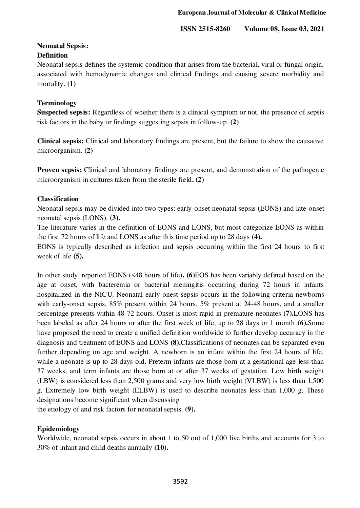## **Neonatal Sepsis: Definition**

Neonatal sepsis defines the systemic condition that arises from the bacterial, viral or fungal origin, associated with hemodynamic changes and clinical findings and causing severe morbidity and mortality. **(1)**

# **Terminology**

**Suspected sepsis:** Regardless of whether there is a clinical symptom or not, the presence of sepsis risk factors in the baby or findings suggesting sepsis in follow-up. **(2)**

**Clinical sepsis:** Clinical and laboratory findings are present, but the failure to show the causative microorganism. **(2)**

**Proven sepsis:** Clinical and laboratory findings are present, and demonstration of the pathogenic microorganism in cultures taken from the sterile field**. (2)**

# **Classification**

Neonatal sepsis may be divided into two types: early-onset neonatal sepsis (EONS) and late-onset neonatal sepsis (LONS). **(3).** 

The literature varies in the definition of EONS and LONS, but most categorize EONS as within the first 72 hours of life and LONS as after this time period up to 28 days **(4).**

EONS is typically described as infection and sepsis occurring within the first 24 hours to first week of life **(5).**

In other study, reported EONS (<48 hours of life)**. (6)**EOS has been variably defined based on the age at onset, with bacteremia or bacterial meningitis occurring during 72 hours in infants hospitalized in the NICU. Neonatal early-onest sepsis occurs in the following criteria newborns with early-onset sepsis, 85% present within 24 hours, 5% present at 24-48 hours, and a smaller percentage presents within 48-72 hours. Onset is most rapid in premature neonates **(7).**LONS has been labeled as after 24 hours or after the first week of life, up to 28 days or 1 month **(6).**Some have proposed the need to create a unified definition worldwide to further develop accuracy in the diagnosis and treatment of EONS and LONS **(8).**Classifications of neonates can be separated even further depending on age and weight. A newborn is an infant within the first 24 hours of life, while a neonate is up to 28 days old. Preterm infants are those born at a gestational age less than 37 weeks, and term infants are those born at or after 37 weeks of gestation. Low birth weight (LBW) is considered less than 2,500 grams and very low birth weight (VLBW) is less than 1,500 g. Extremely low birth weight (ELBW) is used to describe neonates less than 1,000 g. These designations become significant when discussing

the etiology of and risk factors for neonatal sepsis. **(9).**

# **Epidemiology**

Worldwide, neonatal sepsis occurs in about 1 to 50 out of 1,000 live births and accounts for 3 to 30% of infant and child deaths annually **(10).**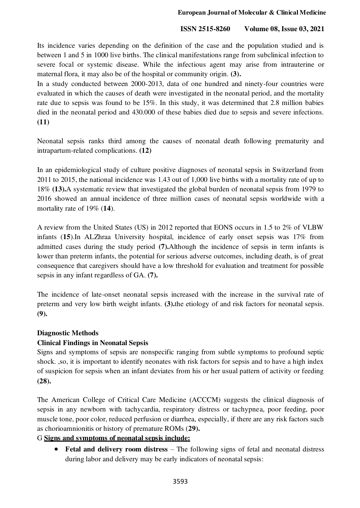Its incidence varies depending on the definition of the case and the population studied and is between 1 and 5 in 1000 live births. The clinical manifestations range from subclinical infection to severe focal or systemic disease. While the infectious agent may arise from intrauterine or maternal flora, it may also be of the hospital or community origin. **(3).** 

In a study conducted between 2000-2013, data of one hundred and ninety-four countries were evaluated in which the causes of death were investigated in the neonatal period, and the mortality rate due to sepsis was found to be 15%. In this study, it was determined that 2.8 million babies died in the neonatal period and 430.000 of these babies died due to sepsis and severe infections. **(11)**

Neonatal sepsis ranks third among the causes of neonatal death following prematurity and intrapartum-related complications. **(12)**

In an epidemiological study of culture positive diagnoses of neonatal sepsis in Switzerland from 2011 to 2015, the national incidence was 1.43 out of 1,000 live births with a mortality rate of up to 18% **(13).**A systematic review that investigated the global burden of neonatal sepsis from 1979 to 2016 showed an annual incidence of three million cases of neonatal sepsis worldwide with a mortality rate of 19% (**14**).

A review from the United States (US) in 2012 reported that EONS occurs in 1.5 to 2% of VLBW infants (**15**).In ALZhraa University hospital, incidence of early onset sepsis was 17% from admitted cases during the study period **(7).**Although the incidence of sepsis in term infants is lower than preterm infants, the potential for serious adverse outcomes, including death, is of great consequence that caregivers should have a low threshold for evaluation and treatment for possible sepsis in any infant regardless of GA. **(7).**

The incidence of late-onset neonatal sepsis increased with the increase in the survival rate of preterm and very low birth weight infants. **(3).**the etiology of and risk factors for neonatal sepsis. **(9).**

## **Diagnostic Methods**

## **Clinical Findings in Neonatal Sepsis**

Signs and symptoms of sepsis are nonspecific ranging from subtle symptoms to profound septic shock. ,so, it is important to identify neonates with risk factors for sepsis and to have a high index of suspicion for sepsis when an infant deviates from his or her usual pattern of activity or feeding **(28).**

The American College of Critical Care Medicine (ACCCM) suggests the clinical diagnosis of sepsis in any newborn with tachycardia, respiratory distress or tachypnea, poor feeding, poor muscle tone, poor color, reduced perfusion or diarrhea, especially, if there are any risk factors such as chorioamnionitis or history of premature ROMs (**29).**

## G **Signs and symptoms of neonatal sepsis include:**

• Fetal and delivery room distress – The following signs of fetal and neonatal distress during labor and delivery may be early indicators of neonatal sepsis: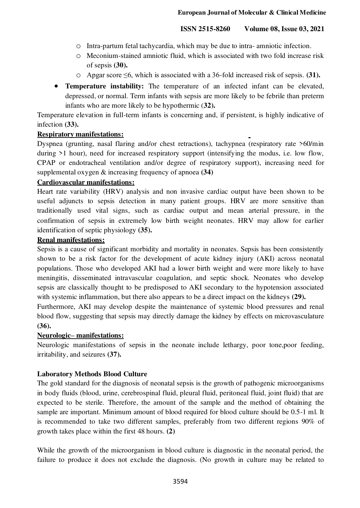- o Intra-partum fetal tachycardia, which may be due to intra- amniotic infection.
- o Meconium-stained amniotic fluid, which is associated with two fold increase risk of sepsis **(30).**
- o Apgar score ≤6, which is associated with a 36-fold increased risk of sepsis. **(31).**
- **Temperature instability:** The temperature of an infected infant can be elevated, depressed, or normal. Term infants with sepsis are more likely to be febrile than preterm infants who are more likely to be hypothermic (**32).**

Temperature elevation in full-term infants is concerning and, if persistent, is highly indicative of infection **(33).**

#### **Respiratory manifestations:**

Dyspnea (grunting, nasal flaring and/or chest retractions), tachypnea (respiratory rate >60/min during  $>1$  hour), need for increased respiratory support (intensifying the modus, i.e. low flow, CPAP or endotracheal ventilation and/or degree of respiratory support), increasing need for supplemental oxygen & increasing frequency of apnoea **(34)** 

#### **Cardiovascular manifestations:**

Heart rate variability (HRV) analysis and non invasive cardiac output have been shown to be useful adjuncts to sepsis detection in many patient groups. HRV are more sensitive than traditionally used vital signs, such as cardiac output and mean arterial pressure, in the confirmation of sepsis in extremely low birth weight neonates. HRV may allow for earlier identification of septic physiology **(35).**

## **Renal manifestations:**

Sepsis is a cause of significant morbidity and mortality in neonates. Sepsis has been consistently shown to be a risk factor for the development of acute kidney injury (AKI) across neonatal populations. Those who developed AKI had a lower birth weight and were more likely to have meningitis, disseminated intravascular coagulation, and septic shock. Neonates who develop sepsis are classically thought to be predisposed to AKI secondary to the hypotension associated with systemic inflammation, but there also appears to be a direct impact on the kidneys **(29).**

Furthermore, AKI may develop despite the maintenance of systemic blood pressures and renal blood flow, suggesting that sepsis may directly damage the kidney by effects on microvasculature **(36).**

## **Neurologic– manifestations:**

Neurologic manifestations of sepsis in the neonate include lethargy, poor tone,poor feeding, irritability, and seizures **(37).**

## **Laboratory Methods Blood Culture**

The gold standard for the diagnosis of neonatal sepsis is the growth of pathogenic microorganisms in body fluids (blood, urine, cerebrospinal fluid, pleural fluid, peritoneal fluid, joint fluid) that are expected to be sterile. Therefore, the amount of the sample and the method of obtaining the sample are important. Minimum amount of blood required for blood culture should be 0.5-1 ml. It is recommended to take two different samples, preferably from two different regions 90% of growth takes place within the first 48 hours. **(2)**

While the growth of the microorganism in blood culture is diagnostic in the neonatal period, the failure to produce it does not exclude the diagnosis. (No growth in culture may be related to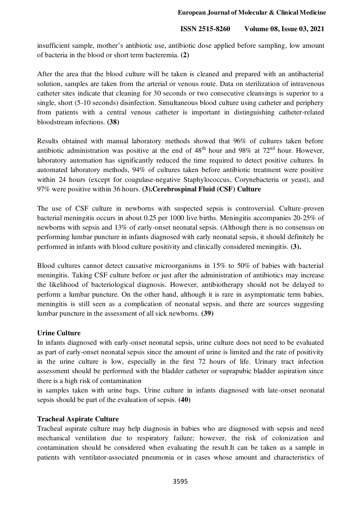insufficient sample, mother's antibiotic use, antibiotic dose applied before sampling, low amount of bacteria in the blood or short term bacteremia. **(2)**

After the area that the blood culture will be taken is cleaned and prepared with an antibacterial solution, samples are taken from the arterial or venous route. Data on sterilization of intravenous catheter sites indicate that cleaning for 30 seconds or two consecutive cleansings is superior to a single, short (5-10 seconds) disinfection. Simultaneous blood culture using catheter and periphery from patients with a central venous catheter is important in distinguishing catheter-related bloodstream infections. **(38)**

Results obtained with manual laboratory methods showed that 96% of cultures taken before antibiotic administration was positive at the end of  $48<sup>th</sup>$  hour and 98% at 72<sup>nd</sup> hour. However, laboratory automation has significantly reduced the time required to detect positive cultures. In automated laboratory methods, 94% of cultures taken before antibiotic treatment were positive within 24 hours (except for coagulase-negative Staphylococcus, Corynebacteria or yeast), and 97% were positive within 36 hours. **(3).Cerebrospinal Fluid (CSF) Culture** 

The use of CSF culture in newborns with suspected sepsis is controversial. Culture-proven bacterial meningitis occurs in about 0.25 per 1000 live births. Meningitis accompanies 20-25% of newborns with sepsis and 13% of early-onset neonatal sepsis. (Although there is no consensus on performing lumbar puncture in infants diagnosed with early neonatal sepsis, it should definitely be performed in infants with blood culture positivity and clinically considered meningitis. **(3).** 

Blood cultures cannot detect causative microorganisms in 15% to 50% of babies with bacterial meningitis. Taking CSF culture before or just after the administration of antibiotics may increase the likelihood of bacteriological diagnosis. However, antibiotherapy should not be delayed to perform a lumbar puncture. On the other hand, although it is rare in asymptomatic term babies, meningitis is still seen as a complication of neonatal sepsis, and there are sources suggesting lumbar puncture in the assessment of all sick newborns. **(39)**

## **Urine Culture**

In infants diagnosed with early-onset neonatal sepsis, urine culture does not need to be evaluated as part of early-onset neonatal sepsis since the amount of urine is limited and the rate of positivity in the urine culture is low, especially in the first 72 hours of life. Urinary tract infection assessment should be performed with the bladder catheter or suprapubic bladder aspiration since there is a high risk of contamination

in samples taken with urine bags. Urine culture in infants diagnosed with late-onset neonatal sepsis should be part of the evaluation of sepsis. **(40)**

## **Tracheal Aspirate Culture**

Tracheal aspirate culture may help diagnosis in babies who are diagnosed with sepsis and need mechanical ventilation due to respiratory failure; however, the risk of colonization and contamination should be considered when evaluating the result.It can be taken as a sample in patients with ventilator-associated pneumonia or in cases whose amount and characteristics of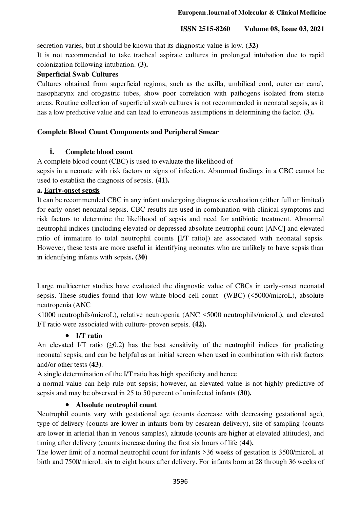secretion varies, but it should be known that its diagnostic value is low. (**32**)

It is not recommended to take tracheal aspirate cultures in prolonged intubation due to rapid colonization following intubation. **(3).** 

#### **Superficial Swab Cultures**

Cultures obtained from superficial regions, such as the axilla, umbilical cord, outer ear canal, nasopharynx and orogastric tubes, show poor correlation with pathogens isolated from sterile areas. Routine collection of superficial swab cultures is not recommended in neonatal sepsis, as it has a low predictive value and can lead to erroneous assumptions in determining the factor. **(3).**

## **Complete Blood Count Components and Peripheral Smear**

## **i. Complete blood count**

A complete blood count (CBC) is used to evaluate the likelihood of

sepsis in a neonate with risk factors or signs of infection. Abnormal findings in a CBC cannot be used to establish the diagnosis of sepsis. **(41).**

#### **a. Early-onset sepsis**

It can be recommended CBC in any infant undergoing diagnostic evaluation (either full or limited) for early-onset neonatal sepsis. CBC results are used in combination with clinical symptoms and risk factors to determine the likelihood of sepsis and need for antibiotic treatment. Abnormal neutrophil indices (including elevated or depressed absolute neutrophil count [ANC] and elevated ratio of immature to total neutrophil counts [I/T ratio]) are associated with neonatal sepsis. However, these tests are more useful in identifying neonates who are unlikely to have sepsis than in identifying infants with sepsis**. (30)** 

Large multicenter studies have evaluated the diagnostic value of CBCs in early-onset neonatal sepsis. These studies found that low white blood cell count (WBC) (<5000/microL), absolute neutropenia (ANC

<1000 neutrophils/microL), relative neutropenia (ANC <5000 neutrophils/microL), and elevated I/T ratio were associated with culture- proven sepsis. **(42).**

## **I/T ratio**

An elevated I/T ratio  $(\geq 0.2)$  has the best sensitivity of the neutrophil indices for predicting neonatal sepsis, and can be helpful as an initial screen when used in combination with risk factors and/or other tests **(43)**.

A single determination of the I/T ratio has high specificity and hence

a normal value can help rule out sepsis; however, an elevated value is not highly predictive of sepsis and may be observed in 25 to 50 percent of uninfected infants **(30).**

## **Absolute neutrophil count**

Neutrophil counts vary with gestational age (counts decrease with decreasing gestational age), type of delivery (counts are lower in infants born by cesarean delivery), site of sampling (counts are lower in arterial than in venous samples), altitude (counts are higher at elevated altitudes), and timing after delivery (counts increase during the first six hours of life (**44).**

The lower limit of a normal neutrophil count for infants >36 weeks of gestation is 3500/microL at birth and 7500/microL six to eight hours after delivery. For infants born at 28 through 36 weeks of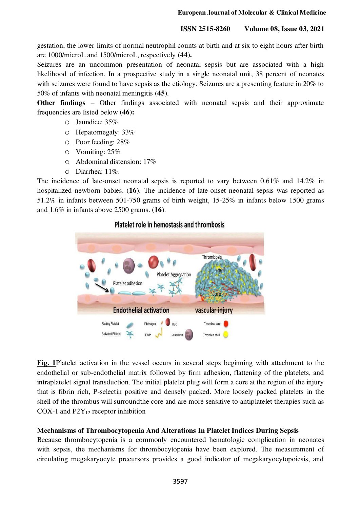gestation, the lower limits of normal neutrophil counts at birth and at six to eight hours after birth are 1000/microL and 1500/microL, respectively **(44).**

Seizures are an uncommon presentation of neonatal sepsis but are associated with a high likelihood of infection. In a prospective study in a single neonatal unit, 38 percent of neonates with seizures were found to have sepsis as the etiology. Seizures are a presenting feature in 20% to 50% of infants with neonatal meningitis **(45)**.

**Other findings** – Other findings associated with neonatal sepsis and their approximate frequencies are listed below **(46):**

- o Jaundice: 35%
- o Hepatomegaly: 33%
- o Poor feeding: 28%
- o Vomiting: 25%
- o Abdominal distension: 17%
- o Diarrhea: 11%.

The incidence of late-onset neonatal sepsis is reported to vary between 0.61% and 14.2% in hospitalized newborn babies. (**16**). The incidence of late-onset neonatal sepsis was reported as 51.2% in infants between 501-750 grams of birth weight, 15-25% in infants below 1500 grams and 1.6% in infants above 2500 grams. (**16**).

#### Platelet role in hemostasis and thrombosis



**[Fig. 1](https://www.ncbi.nlm.nih.gov/pmc/articles/PMC5709181/figure/F1/)**Platelet activation in the vessel occurs in several steps beginning with attachment to the endothelial or sub-endothelial matrix followed by firm adhesion, flattening of the platelets, and intraplatelet signal transduction. The initial platelet plug will form a core at the region of the injury that is fibrin rich, P-selectin positive and densely packed. More loosely packed platelets in the shell of the thrombus will surroundthe core and are more sensitive to antiplatelet therapies such as COX-1 and  $P2Y_{12}$  receptor inhibition

## **Mechanisms of Thrombocytopenia And Alterations In Platelet Indices During Sepsis**

Because thrombocytopenia is a commonly encountered hematologic complication in neonates with sepsis, the mechanisms for thrombocytopenia have been explored. The measurement of circulating megakaryocyte precursors provides a good indicator of megakaryocytopoiesis, and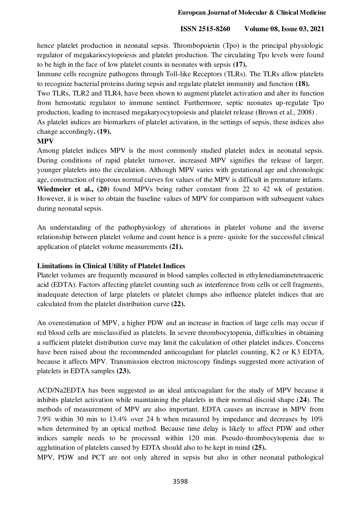hence platelet production in neonatal sepsis. Thrombopoietin (Tpo) is the principal physiologic regulator of megakariocytopoiesis and platelet production. The circulating Tpo levels were found to be high in the face of low platelet counts in neonates with sepsis **(17).**

Immune cells recognize pathogens through Toll-like Receptors (TLRs). The TLRs allow platelets to recognize bacterial proteins during sepsis and regulate platelet immunity and function **(18).**

Two TLRs, TLR2 and TLR4, have been shown to augment platelet activation and alter its function from hemostatic regulator to immune sentinel. Furthermore, septic neonates up-regulate Tpo production, leading to increased megakaryocytopoiesis and platelet release (Brown et al., 2008) .

As platelet indices are biomarkers of platelet activation, in the settings of sepsis, these indices also change accordingly**. (19).**

# **MPV**

Among platelet indices MPV is the most commonly studied platelet index in neonatal sepsis. During conditions of rapid platelet turnover, increased MPV signifies the release of larger, younger platelets into the circulation. Although MPV varies with gestational age and chronologic age, construction of rigorous normal curves for values of the MPV is difficult in premature infants. **Wiedmeier et al., (20)** found MPVs being rather constant from 22 to 42 wk of gestation. However, it is wiser to obtain the baseline values of MPV for comparison with subsequent values during neonatal sepsis.

An understanding of the pathophysiology of alterations in platelet volume and the inverse relationship between platelet volume and count hence is a prere- quisite for the successful clinical application of platelet volume measurements **(21).**

# **Limitations in Clinical Utility of Platelet Indices**

Platelet volumes are frequently measured in blood samples collected in ethylenediaminetetraacetic acid (EDTA). Factors affecting platelet counting such as interference from cells or cell fragments, inadequate detection of large platelets or platelet clumps also influence platelet indices that are calculated from the platelet distribution curve **(22).**

An overestimation of MPV, a higher PDW and an increase in fraction of large cells may occur if red blood cells are misclassified as platelets. In severe thrombocytopenia, difficulties in obtaining a sufficient platelet distribution curve may limit the calculation of other platelet indices. Concerns have been raised about the recommended anticoagulant for platelet counting, K2 or K3 EDTA, because it affects MPV. Transmission electron microscopy findings suggested more activation of platelets in EDTA samples **(23).**

ACD/Na2EDTA has been suggested as an ideal anticoagulant for the study of MPV because it inhibits platelet activation while maintaining the platelets in their normal discoid shape (**24**). The methods of measurement of MPV are also important. EDTA causes an increase in MPV from 7.9% within 30 min to 13.4% over 24 h when measured by impedance and decreases by 10% when determined by an optical method. Because time delay is likely to affect PDW and other indices sample needs to be processed within 120 min. Pseudo-thrombocytopenia due to agglutination of platelets caused by EDTA should also to be kept in mind **(25).**

MPV, PDW and PCT are not only altered in sepsis but also in other neonatal pathological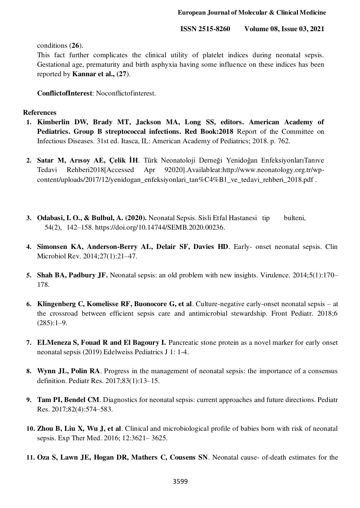conditions (**26**).

This fact further complicates the clinical utility of platelet indices during neonatal sepsis. Gestational age, prematurity and birth asphyxia having some influence on these indices has been reported by **Kannar et al., (27**).

**ConflictofInterest**: Noconflictofinterest.

#### **References**

- **1. Kimberlin DW, Brady MT, Jackson MA, Long SS, editors. American Academy of Pediatrics. Group B streptococcal infections. Red Book:2018** Report of the Committee on Infectious Diseases. 31st ed. Itasca, IL: American Academy of Pediatrics; 2018. p. 762.
- **2. Satar M, Arısoy AE, Çelik İH**. Türk Neonatoloji Derneği Yenidoğan EnfeksiyonlarıTanıve Tedavi Rehberi2018[Accessed Apr 92020].Availableat[:http://www.neonatology.org.tr/wp](http://www.neonatology.org.tr/wp-content/uploads/2017/12/yenidogan_enfeksiyonlari_tan%C4%B1_ve_tedavi_rehberi_2018.pdf)[content/uploads/2017/12/yenidogan\\_enfeksiyonlari\\_tan%C4%B1\\_ve\\_tedavi\\_rehberi\\_2018.pdf .](http://www.neonatology.org.tr/wp-content/uploads/2017/12/yenidogan_enfeksiyonlari_tan%C4%B1_ve_tedavi_rehberi_2018.pdf)
- **3. Odabasi, I. O., & Bulbul, A. (2020).** Neonatal Sepsis. Sisli Etfal Hastanesi tip bulteni, 54(2), 142–158. [https://doi.org/10.14744/SEMB.2020.00236.](https://doi.org/10.14744/SEMB.2020.00236)
- **4. Simonsen KA, Anderson-Berry AL, Delair SF, Davies HD**. Early- onset neonatal sepsis. Clin Microbiol Rev. 2014;27(1):21–47.
- **5. Shah BA, Padbury JF.** Neonatal sepsis: an old problem with new insights. Virulence. 2014;5(1):170– 178.
- **6. Klingenberg C, Komelisse RF, Buonocore G, et al**. Culture-negative early-onset neonatal sepsis at the crossroad between efficient sepsis care and antimicrobial stewardship. Front Pediatr. 2018;6  $(285):1-9.$
- **7. ELMeneza S, Fouad R and El Bagoury I.** Pancreatic stone protein as a novel marker for early onset neonatal sepsis (2019) Edelweiss Pediatrics J 1: 1-4.
- **8. Wynn JL, Polin RA**. Progress in the management of neonatal sepsis: the importance of a consensus definition. Pediatr Res. 2017;83(1):13–15.
- **9. Tam PI, Bendel CM**. Diagnostics for neonatal sepsis: current approaches and future directions. Pediatr Res. 2017;82(4):574–583.
- **10. Zhou B, Liu X, Wu J, et al**. Clinical and microbiological profile of babies born with risk of neonatal sepsis. Exp Ther Med. 2016; 12:3621– 3625.
- **11. Oza S, Lawn JE, Hogan DR, Mathers C, Cousens SN**. Neonatal cause- of-death estimates for the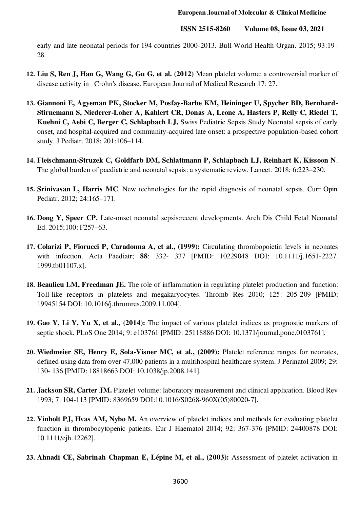early and late neonatal periods for 194 countries 2000-2013. Bull World Health Organ. 2015; 93:19– 28.

- **12. Liu S, Ren J, Han G, Wang G, Gu G, et al. (2012)** Mean platelet volume: a controversial marker of disease activity in Crohn's disease. European Journal of Medical Research 17: 27.
- **13. Giannoni E, Agyeman PK, Stocker M, Posfay-Barbe KM, Heininger U, Spycher BD, Bernhard-Stirnemann S, Niederer-Loher A, Kahlert CR, Donas A, Leone A, Hasters P, Relly C, Riedel T, Kuehni C, Aebi C, Berger C, Schlapbach LJ,** Swiss Pediatric Sepsis Study Neonatal sepsis of early onset, and hospital-acquired and community-acquired late onset: a prospective population-based cohort study. J Pediatr. 2018; 201:106–114.
- **14. Fleischmann-Struzek C, Goldfarb DM, Schlattmann P, Schlapbach LJ, Reinhart K, Kissoon N**. The global burden of paediatric and neonatal sepsis: a systematic review. Lancet. 2018; 6:223–230.
- **15. Srinivasan L, Harris MC**. New technologies for the rapid diagnosis of neonatal sepsis. Curr Opin Pediatr. 2012; 24:165–171.
- **16. Dong Y, Speer CP.** Late-onset neonatal sepsis:recent developments. Arch Dis Child Fetal Neonatal Ed. 2015;100: F257–63.
- **17. Colarizi P, Fiorucci P, Caradonna A, et al., (1999):** Circulating thrombopoietin levels in neonates with infection. Acta Paediatr; **88**: 332- 337 [PMID: 10229048 DOI: 10.1111/j.1651-2227. 1999.tb01107.x].
- **18. Beaulieu LM, Freedman JE.** The role of inflammation in regulating platelet production and function: Toll-like receptors in platelets and megakaryocytes. Thromb Res 2010; 125: 205-209 [PMID: 19945154 DOI: 10.1016/j.thromres.2009.11.004].
- **19. Gao Y, Li Y, Yu X, et al., (2014):** The impact of various platelet indices as prognostic markers of septic shock. PLoS One 2014; 9: e103761 [PMID: 25118886 DOI: 10.1371/journal.pone.0103761].
- **20. Wiedmeier SE, Henry E, Sola-Visner MC, et al., (2009):** Platelet reference ranges for neonates, defined using data from over 47,000 patients in a multihospital healthcare system. J Perinatol 2009; 29: 130- 136 [PMID: 18818663 DOI: 10.1038/jp.2008.141].
- **21. Jackson SR, Carter JM.** Platelet volume: laboratory measurement and clinical application. Blood Rev 1993; 7: 104-113 [PMID: 8369659 DOI:10.1016/S0268-960X(05)80020-7].
- **22. Vinholt PJ, Hvas AM, Nybo M.** An overview of platelet indices and methods for evaluating platelet function in thrombocytopenic patients. Eur J Haematol 2014; 92: 367-376 [PMID: 24400878 DOI: 10.1111/ejh.12262].
- **23. Ahnadi CE, Sabrinah Chapman E, Lépine M, et al., (2003):** Assessment of platelet activation in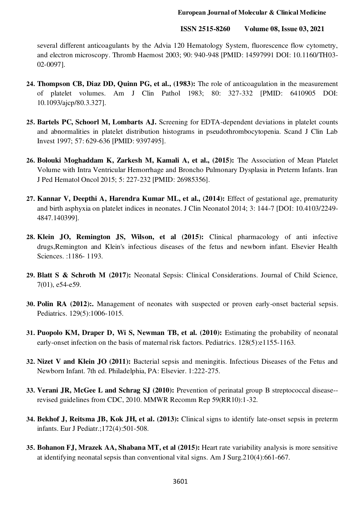several different anticoagulants by the Advia 120 Hematology System, fluorescence flow cytometry, and electron microscopy. Thromb Haemost 2003; 90: 940-948 [PMID: 14597991 DOI: 10.1160/TH03- 02-0097].

- **24. Thompson CB, Diaz DD, Quinn PG, et al., (1983):** The role of anticoagulation in the measurement of platelet volumes. Am J Clin Pathol 1983; 80: 327-332 [PMID: 6410905 DOI: 10.1093/ajcp/80.3.327].
- **25. Bartels PC, Schoorl M, Lombarts AJ.** Screening for EDTA-dependent deviations in platelet counts and abnormalities in platelet distribution histograms in pseudothrombocytopenia. Scand J Clin Lab Invest 1997; 57: 629-636 [PMID: 9397495].
- **26. Bolouki Moghaddam K, Zarkesh M, Kamali A, et al., (2015):** The Association of Mean Platelet Volume with Intra Ventricular Hemorrhage and Broncho Pulmonary Dysplasia in Preterm Infants. Iran J Ped Hematol Oncol 2015; 5: 227-232 [PMID: 26985356].
- **27. Kannar V, Deepthi A, Harendra Kumar ML, et al., (2014):** Effect of gestational age, prematurity and birth asphyxia on platelet indices in neonates. J Clin Neonatol 2014; 3: 144-7 [DOI: 10.4103/2249- 4847.140399].
- **28. Klein JO, Remington JS, Wilson, et al (2015):** Clinical pharmacology of anti infective drugs,Remington and Klein's infectious diseases of the fetus and newborn infant. Elsevier Health Sciences. :1186- 1193.
- **29. Blatt S & Schroth M (2017):** Neonatal Sepsis: Clinical Considerations. Journal of Child Science, 7(01), e54-e59.
- **30. Polin RA (2012):.** Management of neonates with suspected or proven early-onset bacterial sepsis. Pediatrics. 129(5):1006-1015.
- **31. Puopolo KM, Draper D, Wi S, Newman TB, et al. (2010):** Estimating the probability of neonatal early-onset infection on the basis of maternal risk factors. Pediatrics. 128(5):e1155-1163.
- **32. Nizet V and Klein JO (2011):** Bacterial sepsis and meningitis. Infectious Diseases of the Fetus and Newborn Infant. 7th ed. Philadelphia, PA: Elsevier. 1:222-275.
- **33. Verani JR, McGee L and Schrag SJ (2010):** Prevention of perinatal group B streptococcal disease- revised guidelines from CDC, 2010. MMWR Recomm Rep 59(RR10):1-32.
- **34. [Bekhof J,](http://www.ncbi.nlm.nih.gov/pubmed/?term=Bekhof%20J%5BAuthor%5D&%3Bcauthor=true&%3Bcauthor_uid=23271492) [Reitsma JB,](http://www.ncbi.nlm.nih.gov/pubmed/?term=Reitsma%20JB%5BAuthor%5D&%3Bcauthor=true&%3Bcauthor_uid=23271492) [Kok JH, e](http://www.ncbi.nlm.nih.gov/pubmed/?term=Kok%20JH%5BAuthor%5D&%3Bcauthor=true&%3Bcauthor_uid=23271492)t al. (2013):** Clinical signs to identify late-onset sepsis in preterm infants. [Eur J Pediatr.;](http://www.ncbi.nlm.nih.gov/pubmed/23271492)172(4):501-508.
- **35. [Bohanon FJ,](http://www.ncbi.nlm.nih.gov/pubmed/?term=Bohanon%20FJ%5BAuthor%5D&%3Bcauthor=true&%3Bcauthor_uid=26212391) [Mrazek AA,](http://www.ncbi.nlm.nih.gov/pubmed/?term=Mrazek%20AA%5BAuthor%5D&%3Bcauthor=true&%3Bcauthor_uid=26212391) [Shabana MT,](http://www.ncbi.nlm.nih.gov/pubmed/?term=Shabana%20MT%5BAuthor%5D&%3Bcauthor=true&%3Bcauthor_uid=26212391) et al (2015):** Heart rate variability analysis is more sensitive at identifying neonatal sepsis than conventional vital signs. [Am J Surg.2](http://www.ncbi.nlm.nih.gov/pubmed/26212391)10(4):661-667.